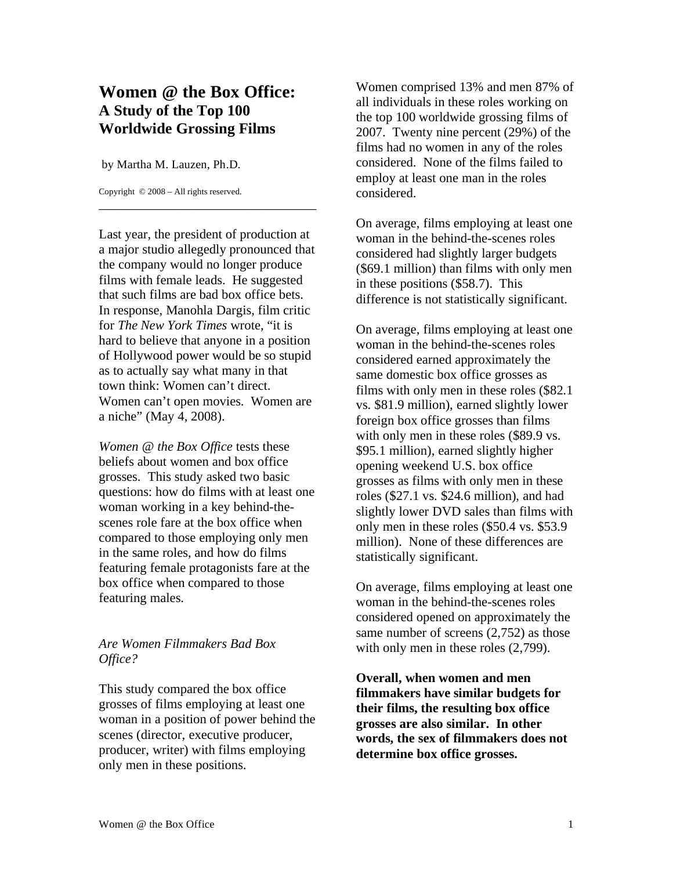## **Women @ the Box Office: A Study of the Top 100 Worldwide Grossing Films**

by Martha M. Lauzen, Ph.D.

Copyright © 2008 – All rights reserved.

Last year, the president of production at a major studio allegedly pronounced that the company would no longer produce films with female leads. He suggested that such films are bad box office bets. In response, Manohla Dargis, film critic for *The New York Times* wrote, "it is hard to believe that anyone in a position of Hollywood power would be so stupid as to actually say what many in that town think: Women can't direct. Women can't open movies. Women are a niche" (May 4, 2008).

\_\_\_\_\_\_\_\_\_\_\_\_\_\_\_\_\_\_\_\_\_\_\_\_\_\_\_\_\_\_\_\_\_

*Women @ the Box Office* tests these beliefs about women and box office grosses. This study asked two basic questions: how do films with at least one woman working in a key behind-thescenes role fare at the box office when compared to those employing only men in the same roles, and how do films featuring female protagonists fare at the box office when compared to those featuring males.

## *Are Women Filmmakers Bad Box Office?*

This study compared the box office grosses of films employing at least one woman in a position of power behind the scenes (director, executive producer, producer, writer) with films employing only men in these positions.

Women comprised 13% and men 87% of all individuals in these roles working on the top 100 worldwide grossing films of 2007. Twenty nine percent (29%) of the films had no women in any of the roles considered. None of the films failed to employ at least one man in the roles considered.

On average, films employing at least one woman in the behind-the-scenes roles considered had slightly larger budgets (\$69.1 million) than films with only men in these positions (\$58.7). This difference is not statistically significant.

On average, films employing at least one woman in the behind-the-scenes roles considered earned approximately the same domestic box office grosses as films with only men in these roles (\$82.1 vs. \$81.9 million), earned slightly lower foreign box office grosses than films with only men in these roles (\$89.9 vs.) \$95.1 million), earned slightly higher opening weekend U.S. box office grosses as films with only men in these roles (\$27.1 vs. \$24.6 million), and had slightly lower DVD sales than films with only men in these roles (\$50.4 vs. \$53.9 million). None of these differences are statistically significant.

On average, films employing at least one woman in the behind-the-scenes roles considered opened on approximately the same number of screens  $(2,752)$  as those with only men in these roles  $(2,799)$ .

**Overall, when women and men filmmakers have similar budgets for their films, the resulting box office grosses are also similar. In other words, the sex of filmmakers does not determine box office grosses.**